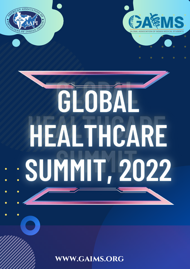



 $\bullet$ 

 $\bullet$ 

 $\bullet$ 

 $\bullet$ 

 $\bullet$ 

 $\bullet$ 

 $\bullet$ 

# **www.gaims.org**

# GLOBAL THCARE : SUMMIT, 2022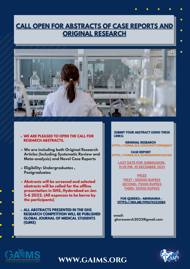### $\bullet$  $\bullet$

 $\bullet$ 

 $\bullet$ 

 $\bullet$ 

# **CALL OPEN FOR ABSTRACTS OF CASE REPORTS AND ORIGINAL RESEARCH**



- **We are including both Original Research Articles (Including Systematic Review and Meta-analysis) and Novel Case Reports**
- **Eligibility: Undergraduates , Postgraduates**
- **Abstracts will be screened and selected abstracts will be called for the offline presentation in GHS, Hyderabad on Jan 5-6 2022. (All expenses to be borne by the participants)**

**ALL ABSTRACTS PRESENTED IN THE GHS RESEARCH COMPETITION WILL BE PUBLISHED GLOBAL JOURNAL OF MEDICAL STUDENTS (GJMS)** 

**[HTTPS://FORMS.GLE/GU9EIDGE9WKS1XXW6](https://forms.gle/GU9eidgE9wkS1XxW6) CASE REPORT** 

### **WE ARE PLEASED TO OPEN THE CALL FOR RESEARCH ABSTRACTS.**

**SUBMIT YOUR ABSTRACT USING THESE** LINKS:

**ORIGINAL RESEARCH** 

**[HTTPS://FORMS.GLE/JOOZXNFTTS9MSQNH7](https://forms.gle/JooZXnftTS9MsQnH7)**

**email: [ghsresearch2022@gmail.com](mailto:ghsresearch2022@gmail.com)**



**LAST DATE FOR SUBMISSION-11:59 PM, 10 DECEMBER 2021**

**PRIZE FIRST : 100000 RUPEES SECOND: 75000 RUPEES THIRD: 50000 RUPEES**

### **FOR QUERIES: - ABHINANDA -HTTPS://WA.ME/919674322084**



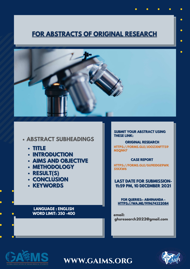# **FOR ABSTRACTS OF ORIGINAL RESEARCH**



WWW.GAIMS.ORG

## **• ABSTRACT SUBHEADINGS**

**SUBMIT YOUR ABSTRACT USING THESE LINK:** 

 $\bullet$ 

 $\bullet$ 

 $\bullet$ 

 $\bullet$ 

 $\bullet$ 

**ORIGINAL RESEARCH** 



- · INTRODUCTION
- **AIMS AND OBJECTIVE**
- · METHODOLOGY
- · RESULT(S)
- · CONCLUSION
- · KEYWORDS

### **LANGUAGE : ENGLISH WORD LIMIT: 350 -400**

HTTPS://FORMS.GLE/JOOZXNFTTS9 **MSQNH7** 

### **CASE REPORT**

HTTPS://FORMS.GLE/GU9EIDGE9WK S1XXW6

### **LAST DATE FOR SUBMISSION-**11:59 PM, 10 DECEMBER 2021

FOR QUERIES:- ABHINANDA -HTTPS://WA.ME/919674322084

email: ghsresearch2022@gmail.com